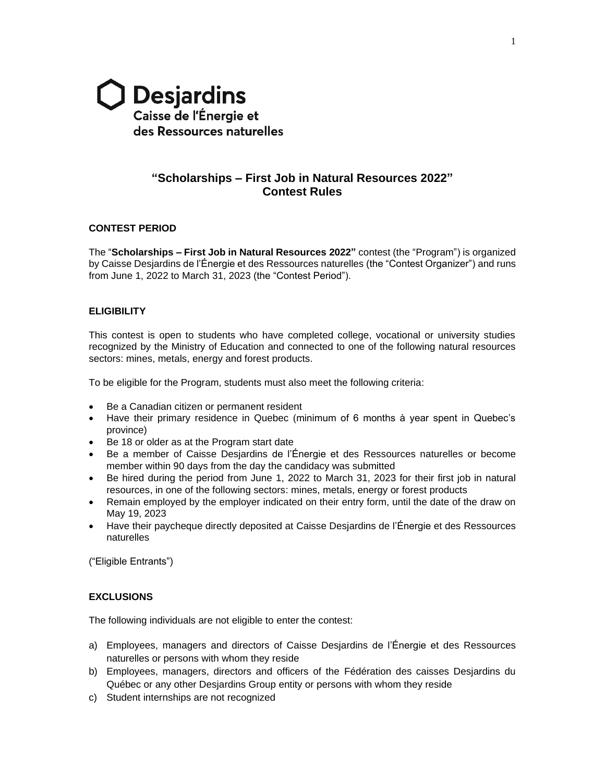

# **"Scholarships – First Job in Natural Resources 2022" Contest Rules**

## **CONTEST PERIOD**

The "**Scholarships – First Job in Natural Resources 2022"** contest (the "Program") is organized by Caisse Desjardins de l'Énergie et des Ressources naturelles (the "Contest Organizer") and runs from June 1, 2022 to March 31, 2023 (the "Contest Period").

# **ELIGIBILITY**

This contest is open to students who have completed college, vocational or university studies recognized by the Ministry of Education and connected to one of the following natural resources sectors: mines, metals, energy and forest products.

To be eligible for the Program, students must also meet the following criteria:

- Be a Canadian citizen or permanent resident
- Have their primary residence in Quebec (minimum of 6 months à year spent in Quebec's province)
- Be 18 or older as at the Program start date
- Be a member of Caisse Desjardins de l'Énergie et des Ressources naturelles or become member within 90 days from the day the candidacy was submitted
- Be hired during the period from June 1, 2022 to March 31, 2023 for their first job in natural resources, in one of the following sectors: mines, metals, energy or forest products
- Remain employed by the employer indicated on their entry form, until the date of the draw on May 19, 2023
- Have their paycheque directly deposited at Caisse Desjardins de l'Énergie et des Ressources naturelles

("Eligible Entrants")

### **EXCLUSIONS**

The following individuals are not eligible to enter the contest:

- a) Employees, managers and directors of Caisse Desjardins de l'Énergie et des Ressources naturelles or persons with whom they reside
- b) Employees, managers, directors and officers of the Fédération des caisses Desjardins du Québec or any other Desjardins Group entity or persons with whom they reside
- c) Student internships are not recognized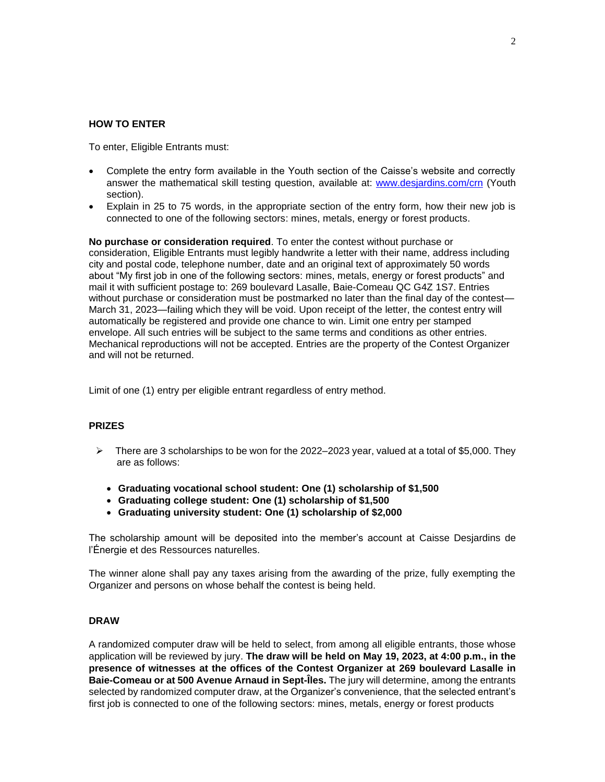#### **HOW TO ENTER**

To enter, Eligible Entrants must:

- Complete the entry form available in the Youth section of the Caisse's website and correctly answer the mathematical skill testing question, available at: [www.desjardins.com/crn](http://www.desjardins.com/crn) (Youth section).
- Explain in 25 to 75 words, in the appropriate section of the entry form, how their new job is connected to one of the following sectors: mines, metals, energy or forest products.

**No purchase or consideration required**. To enter the contest without purchase or consideration, Eligible Entrants must legibly handwrite a letter with their name, address including city and postal code, telephone number, date and an original text of approximately 50 words about "My first job in one of the following sectors: mines, metals, energy or forest products" and mail it with sufficient postage to: 269 boulevard Lasalle, Baie-Comeau QC G4Z 1S7. Entries without purchase or consideration must be postmarked no later than the final day of the contest— March 31, 2023—failing which they will be void. Upon receipt of the letter, the contest entry will automatically be registered and provide one chance to win. Limit one entry per stamped envelope. All such entries will be subject to the same terms and conditions as other entries. Mechanical reproductions will not be accepted. Entries are the property of the Contest Organizer and will not be returned.

Limit of one (1) entry per eligible entrant regardless of entry method.

### **PRIZES**

- ➢ There are 3 scholarships to be won for the 2022–2023 year, valued at a total of \$5,000. They are as follows:
	- **Graduating vocational school student: One (1) scholarship of \$1,500**
	- **Graduating college student: One (1) scholarship of \$1,500**
	- **Graduating university student: One (1) scholarship of \$2,000**

The scholarship amount will be deposited into the member's account at Caisse Desjardins de l'Énergie et des Ressources naturelles.

The winner alone shall pay any taxes arising from the awarding of the prize, fully exempting the Organizer and persons on whose behalf the contest is being held.

# **DRAW**

A randomized computer draw will be held to select, from among all eligible entrants, those whose application will be reviewed by jury. **The draw will be held on May 19, 2023, at 4:00 p.m., in the presence of witnesses at the offices of the Contest Organizer at 269 boulevard Lasalle in Baie-Comeau or at 500 Avenue Arnaud in Sept-Îles.** The jury will determine, among the entrants selected by randomized computer draw, at the Organizer's convenience, that the selected entrant's first job is connected to one of the following sectors: mines, metals, energy or forest products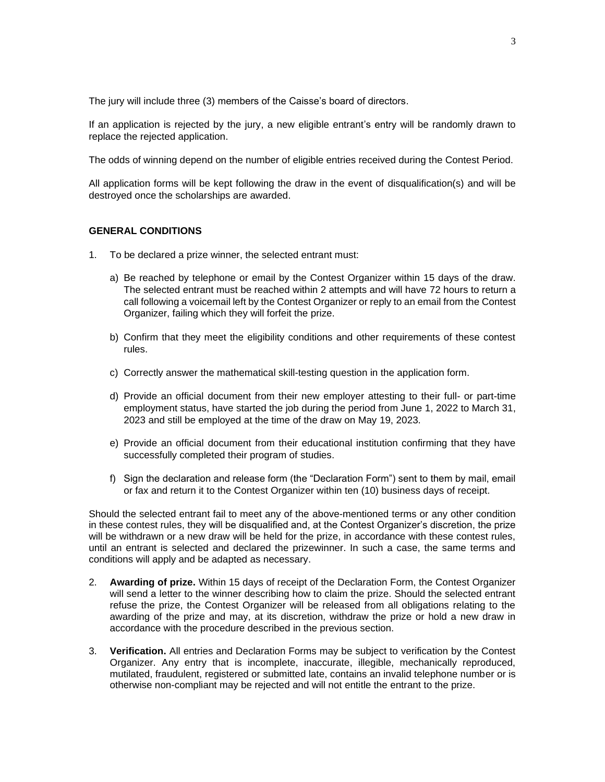The jury will include three (3) members of the Caisse's board of directors.

If an application is rejected by the jury, a new eligible entrant's entry will be randomly drawn to replace the rejected application.

The odds of winning depend on the number of eligible entries received during the Contest Period.

All application forms will be kept following the draw in the event of disqualification(s) and will be destroyed once the scholarships are awarded.

#### **GENERAL CONDITIONS**

- 1. To be declared a prize winner, the selected entrant must:
	- a) Be reached by telephone or email by the Contest Organizer within 15 days of the draw. The selected entrant must be reached within 2 attempts and will have 72 hours to return a call following a voicemail left by the Contest Organizer or reply to an email from the Contest Organizer, failing which they will forfeit the prize.
	- b) Confirm that they meet the eligibility conditions and other requirements of these contest rules.
	- c) Correctly answer the mathematical skill-testing question in the application form.
	- d) Provide an official document from their new employer attesting to their full- or part-time employment status, have started the job during the period from June 1, 2022 to March 31, 2023 and still be employed at the time of the draw on May 19, 2023.
	- e) Provide an official document from their educational institution confirming that they have successfully completed their program of studies.
	- f) Sign the declaration and release form (the "Declaration Form") sent to them by mail, email or fax and return it to the Contest Organizer within ten (10) business days of receipt.

Should the selected entrant fail to meet any of the above-mentioned terms or any other condition in these contest rules, they will be disqualified and, at the Contest Organizer's discretion, the prize will be withdrawn or a new draw will be held for the prize, in accordance with these contest rules, until an entrant is selected and declared the prizewinner. In such a case, the same terms and conditions will apply and be adapted as necessary.

- 2. **Awarding of prize.** Within 15 days of receipt of the Declaration Form, the Contest Organizer will send a letter to the winner describing how to claim the prize. Should the selected entrant refuse the prize, the Contest Organizer will be released from all obligations relating to the awarding of the prize and may, at its discretion, withdraw the prize or hold a new draw in accordance with the procedure described in the previous section.
- 3. **Verification.** All entries and Declaration Forms may be subject to verification by the Contest Organizer. Any entry that is incomplete, inaccurate, illegible, mechanically reproduced, mutilated, fraudulent, registered or submitted late, contains an invalid telephone number or is otherwise non-compliant may be rejected and will not entitle the entrant to the prize.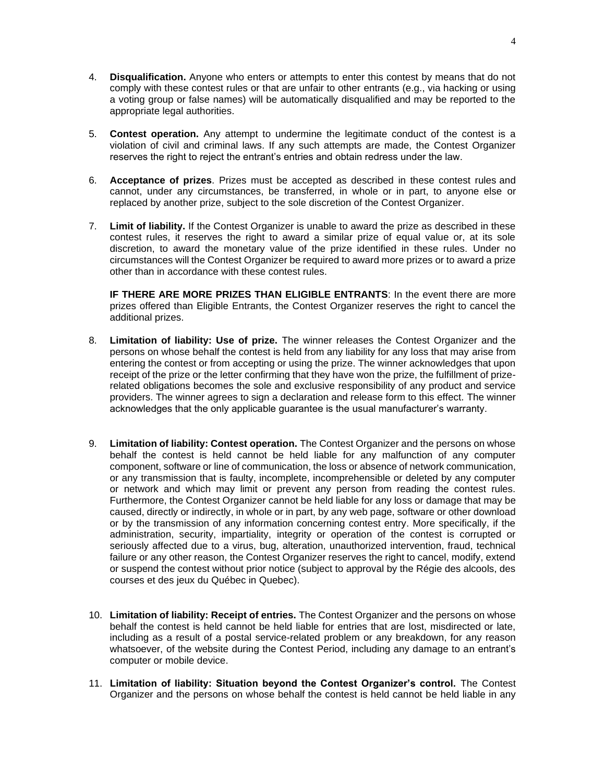- 4. **Disqualification.** Anyone who enters or attempts to enter this contest by means that do not comply with these contest rules or that are unfair to other entrants (e.g., via hacking or using a voting group or false names) will be automatically disqualified and may be reported to the appropriate legal authorities.
- 5. **Contest operation.** Any attempt to undermine the legitimate conduct of the contest is a violation of civil and criminal laws. If any such attempts are made, the Contest Organizer reserves the right to reject the entrant's entries and obtain redress under the law.
- 6. **Acceptance of prizes**. Prizes must be accepted as described in these contest rules and cannot, under any circumstances, be transferred, in whole or in part, to anyone else or replaced by another prize, subject to the sole discretion of the Contest Organizer.
- 7. **Limit of liability.** If the Contest Organizer is unable to award the prize as described in these contest rules, it reserves the right to award a similar prize of equal value or, at its sole discretion, to award the monetary value of the prize identified in these rules. Under no circumstances will the Contest Organizer be required to award more prizes or to award a prize other than in accordance with these contest rules.

**IF THERE ARE MORE PRIZES THAN ELIGIBLE ENTRANTS**: In the event there are more prizes offered than Eligible Entrants, the Contest Organizer reserves the right to cancel the additional prizes.

- 8. **Limitation of liability: Use of prize.** The winner releases the Contest Organizer and the persons on whose behalf the contest is held from any liability for any loss that may arise from entering the contest or from accepting or using the prize. The winner acknowledges that upon receipt of the prize or the letter confirming that they have won the prize, the fulfillment of prizerelated obligations becomes the sole and exclusive responsibility of any product and service providers. The winner agrees to sign a declaration and release form to this effect. The winner acknowledges that the only applicable guarantee is the usual manufacturer's warranty.
- 9. **Limitation of liability: Contest operation.** The Contest Organizer and the persons on whose behalf the contest is held cannot be held liable for any malfunction of any computer component, software or line of communication, the loss or absence of network communication, or any transmission that is faulty, incomplete, incomprehensible or deleted by any computer or network and which may limit or prevent any person from reading the contest rules. Furthermore, the Contest Organizer cannot be held liable for any loss or damage that may be caused, directly or indirectly, in whole or in part, by any web page, software or other download or by the transmission of any information concerning contest entry. More specifically, if the administration, security, impartiality, integrity or operation of the contest is corrupted or seriously affected due to a virus, bug, alteration, unauthorized intervention, fraud, technical failure or any other reason, the Contest Organizer reserves the right to cancel, modify, extend or suspend the contest without prior notice (subject to approval by the Régie des alcools, des courses et des jeux du Québec in Quebec).
- 10. **Limitation of liability: Receipt of entries.** The Contest Organizer and the persons on whose behalf the contest is held cannot be held liable for entries that are lost, misdirected or late, including as a result of a postal service-related problem or any breakdown, for any reason whatsoever, of the website during the Contest Period, including any damage to an entrant's computer or mobile device.
- 11. **Limitation of liability: Situation beyond the Contest Organizer's control.** The Contest Organizer and the persons on whose behalf the contest is held cannot be held liable in any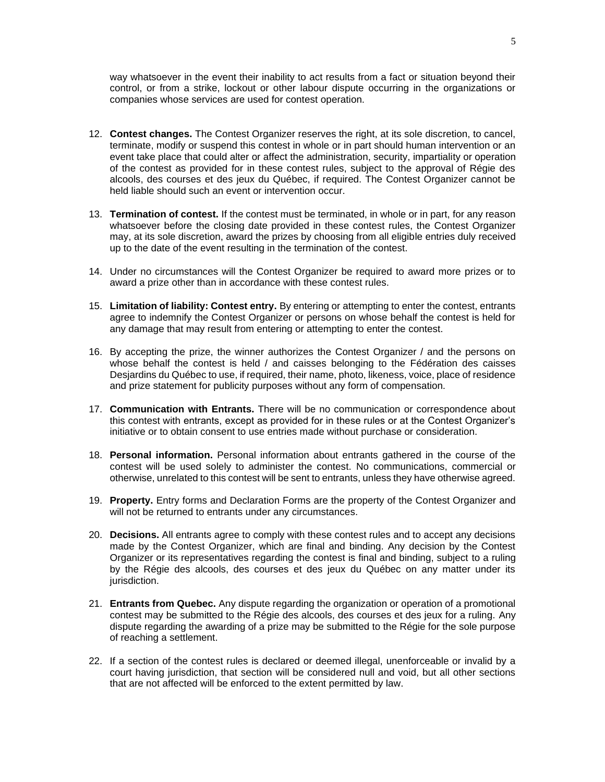way whatsoever in the event their inability to act results from a fact or situation beyond their control, or from a strike, lockout or other labour dispute occurring in the organizations or companies whose services are used for contest operation.

- 12. **Contest changes.** The Contest Organizer reserves the right, at its sole discretion, to cancel, terminate, modify or suspend this contest in whole or in part should human intervention or an event take place that could alter or affect the administration, security, impartiality or operation of the contest as provided for in these contest rules, subject to the approval of Régie des alcools, des courses et des jeux du Québec, if required. The Contest Organizer cannot be held liable should such an event or intervention occur.
- 13. **Termination of contest.** If the contest must be terminated, in whole or in part, for any reason whatsoever before the closing date provided in these contest rules, the Contest Organizer may, at its sole discretion, award the prizes by choosing from all eligible entries duly received up to the date of the event resulting in the termination of the contest.
- 14. Under no circumstances will the Contest Organizer be required to award more prizes or to award a prize other than in accordance with these contest rules.
- 15. **Limitation of liability: Contest entry.** By entering or attempting to enter the contest, entrants agree to indemnify the Contest Organizer or persons on whose behalf the contest is held for any damage that may result from entering or attempting to enter the contest.
- 16. By accepting the prize, the winner authorizes the Contest Organizer / and the persons on whose behalf the contest is held / and caisses belonging to the Fédération des caisses Desjardins du Québec to use, if required, their name, photo, likeness, voice, place of residence and prize statement for publicity purposes without any form of compensation.
- 17. **Communication with Entrants.** There will be no communication or correspondence about this contest with entrants, except as provided for in these rules or at the Contest Organizer's initiative or to obtain consent to use entries made without purchase or consideration.
- 18. **Personal information.** Personal information about entrants gathered in the course of the contest will be used solely to administer the contest. No communications, commercial or otherwise, unrelated to this contest will be sent to entrants, unless they have otherwise agreed.
- 19. **Property.** Entry forms and Declaration Forms are the property of the Contest Organizer and will not be returned to entrants under any circumstances.
- 20. **Decisions.** All entrants agree to comply with these contest rules and to accept any decisions made by the Contest Organizer, which are final and binding. Any decision by the Contest Organizer or its representatives regarding the contest is final and binding, subject to a ruling by the Régie des alcools, des courses et des jeux du Québec on any matter under its jurisdiction.
- 21. **Entrants from Quebec.** Any dispute regarding the organization or operation of a promotional contest may be submitted to the Régie des alcools, des courses et des jeux for a ruling. Any dispute regarding the awarding of a prize may be submitted to the Régie for the sole purpose of reaching a settlement.
- 22. If a section of the contest rules is declared or deemed illegal, unenforceable or invalid by a court having jurisdiction, that section will be considered null and void, but all other sections that are not affected will be enforced to the extent permitted by law.